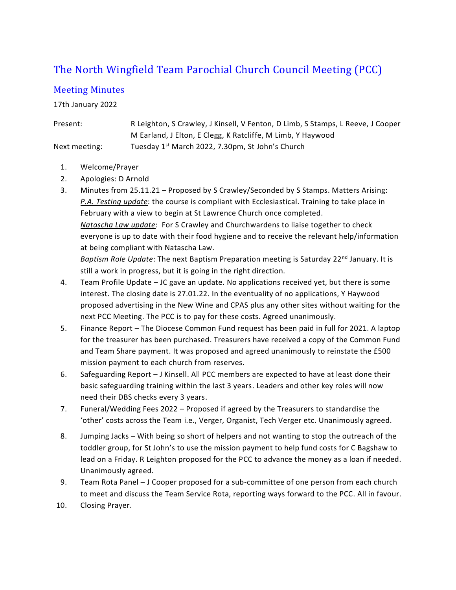## The North Wingfield Team Parochial Church Council Meeting (PCC)

## Meeting Minutes

17th January 2022

Present: R Leighton, S Crawley, J Kinsell, V Fenton, D Limb, S Stamps, L Reeve, J Cooper M Earland, J Elton, E Clegg, K Ratcliffe, M Limb, Y Haywood Next meeting: Tuesday 1<sup>st</sup> March 2022, 7.30pm, St John's Church

- 1. Welcome/Prayer
- 2. Apologies: D Arnold
- 3. Minutes from 25.11.21 Proposed by S Crawley/Seconded by S Stamps. Matters Arising: *P.A. Testing update*: the course is compliant with Ecclesiastical. Training to take place in February with a view to begin at St Lawrence Church once completed. *Natascha Law update*: For S Crawley and Churchwardens to liaise together to check everyone is up to date with their food hygiene and to receive the relevant help/information at being compliant with Natascha Law. Baptism Role Update: The next Baptism Preparation meeting is Saturday 22<sup>nd</sup> January. It is
- 4. Team Profile Update JC gave an update. No applications received yet, but there is some interest. The closing date is 27.01.22. In the eventuality of no applications, Y Haywood proposed advertising in the New Wine and CPAS plus any other sites without waiting for the next PCC Meeting. The PCC is to pay for these costs. Agreed unanimously.

still a work in progress, but it is going in the right direction.

- 5. Finance Report The Diocese Common Fund request has been paid in full for 2021. A laptop for the treasurer has been purchased. Treasurers have received a copy of the Common Fund and Team Share payment. It was proposed and agreed unanimously to reinstate the £500 mission payment to each church from reserves.
- 6. Safeguarding Report J Kinsell. All PCC members are expected to have at least done their basic safeguarding training within the last 3 years. Leaders and other key roles will now need their DBS checks every 3 years.
- 7. Funeral/Wedding Fees 2022 Proposed if agreed by the Treasurers to standardise the 'other' costs across the Team i.e., Verger, Organist, Tech Verger etc. Unanimously agreed.
- 8. Jumping Jacks With being so short of helpers and not wanting to stop the outreach of the toddler group, for St John's to use the mission payment to help fund costs for C Bagshaw to lead on a Friday. R Leighton proposed for the PCC to advance the money as a loan if needed. Unanimously agreed.
- 9. Team Rota Panel J Cooper proposed for a sub-committee of one person from each church to meet and discuss the Team Service Rota, reporting ways forward to the PCC. All in favour.
- 10. Closing Prayer.